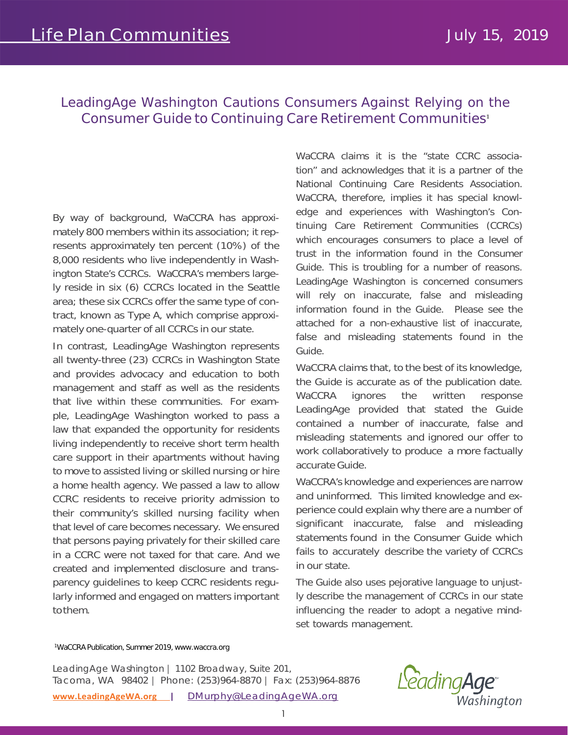## LeadingAge Washington Cautions Consumers Against Relying on the *Consumer Guide to Continuing Care Retirement Communities***<sup>1</sup>**

By way of background, WaCCRA has approximately 800 members within its association; it represents approximately ten percent (10%) of the 8,000 residents who live independently in Washington State's CCRCs. WaCCRA's members largely reside in six (6) CCRCs located in the Seattle area; these six CCRCs offer the same type of contract, known as Type A, which comprise approximately one-quarter of all CCRCs in our state.

In contrast, LeadingAge Washington represents all twenty-three (23) CCRCs in Washington State and provides advocacy and education to both management and staff as well as the residents that live within these communities. For example, LeadingAge Washington worked to pass a law that expanded the opportunity for residents living independently to receive short term health care support in their apartments without having to move to assisted living or skilled nursing or hire a home health agency. We passed a law to allow CCRC residents to receive priority admission to their community's skilled nursing facility when that level of care becomes necessary. We ensured that persons paying privately for their skilled care in a CCRC were not taxed for that care. And we created and implemented disclosure and transparency guidelines to keep CCRC residents regularly informed and engaged on matters important tothem.

WaCCRA claims it is the "state CCRC association" and acknowledges that it is a partner of the National Continuing Care Residents Association. WaCCRA, therefore, implies it has special knowledge and experiences with Washington's Continuing Care Retirement Communities (CCRCs) which encourages consumers to place a level of trust in the information found in the Consumer Guide. This is troubling for a number of reasons. LeadingAge Washington is concerned consumers will rely on inaccurate, false and misleading information found in the Guide. Please see the attached for a non-exhaustive list of inaccurate, false and misleading statements found in the Guide.

WaCCRA claims that, to the best of its knowledge, the Guide is accurate as of the publication date. WaCCRA ignores the written response LeadingAge provided that stated the Guide contained a number of inaccurate, false and misleading statements and ignored our offer to work collaboratively to produce a more factually accurate Guide.

WaCCRA's knowledge and experiences are narrow and uninformed. This limited knowledge and experience could explain why there are a number of significant inaccurate, false and misleading statements found in the Consumer Guide which fails to accurately describe the variety of CCRCs in our state.

The Guide also uses pejorative language to unjustly describe the management of CCRCs in our state influencing the reader to adopt a negative mindset towards management.

## 1WaCCRA Publication, Summer 2019, www.waccra.org

**[www.LeadingAgeWA.org |](http://www.leadingagewa.org/)** [DMurphy@LeadingAgeWA.org](mailto:DMurphy@LeadingAgeWA.org) LeadingAge Washington | 1102 Broadway, Suite 201, Tacoma, WA 98402 | Phone: (253)964-8870 | Fax: (253)964-8876

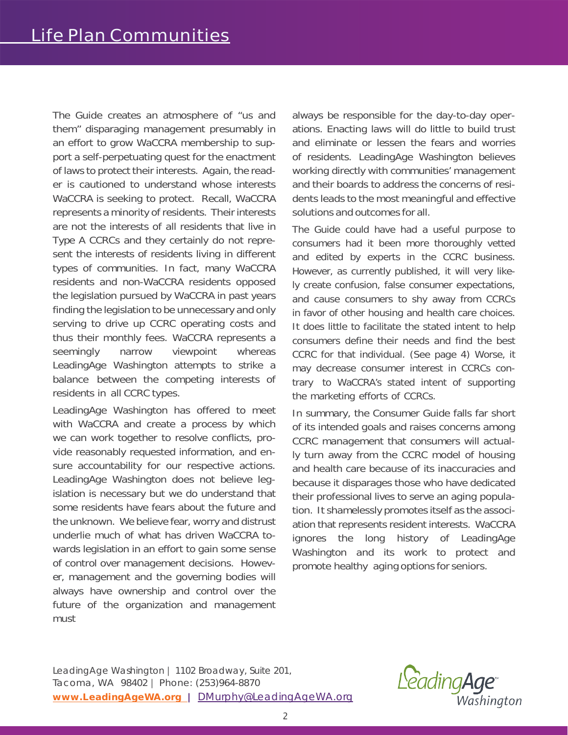The Guide creates an atmosphere of "us and them" disparaging management presumably in an effort to grow WaCCRA membership to support a self-perpetuating quest for the enactment of laws to protect their interests. Again, the reader is cautioned to understand whose interests WaCCRA is seeking to protect. Recall, WaCCRA represents a minority of residents. Their interests are not the interests of all residents that live in Type A CCRCs and they certainly do not represent the interests of residents living in different types of communities. In fact, many WaCCRA residents and non-WaCCRA residents opposed the legislation pursued by WaCCRA in past years finding the legislation to be unnecessary and only serving to drive up CCRC operating costs and thus their monthly fees. WaCCRA represents a seemingly narrow viewpoint whereas LeadingAge Washington attempts to strike a balance between the competing interests of residents in all CCRC types.

LeadingAge Washington has offered to meet with WaCCRA and create a process by which we can work together to resolve conflicts, provide reasonably requested information, and ensure accountability for our respective actions. LeadingAge Washington does not believe legislation is necessary but we do understand that some residents have fears about the future and the unknown. We believe fear, worry and distrust underlie much of what has driven WaCCRA towards legislation in an effort to gain some sense of control over management decisions. However, management and the governing bodies will always have ownership and control over the future of the organization and management must

always be responsible for the day-to-day operations. Enacting laws will do little to build trust and eliminate or lessen the fears and worries of residents. LeadingAge Washington believes working directly with communities' management and their boards to address the concerns of residents leads to the most meaningful and effective solutions and outcomes for all.

The Guide could have had a useful purpose to consumers had it been more thoroughly vetted and edited by experts in the CCRC business. However, as currently published, it will very likely create confusion, false consumer expectations, and cause consumers to shy away from CCRCs in favor of other housing and health care choices. It does little to facilitate the stated intent to help consumers define their needs and find the best CCRC for that individual. (See page 4) Worse, it may decrease consumer interest in CCRCs contrary to WaCCRA's stated intent of supporting the marketing efforts of CCRCs.

In summary, the Consumer Guide falls far short of its intended goals and raises concerns among CCRC management that consumers will actually turn away from the CCRC model of housing and health care because of its inaccuracies and because it disparages those who have dedicated their professional lives to serve an aging population. It shamelessly promotes itself as the association that represents resident interests. WaCCRA ignores the long history of LeadingAge Washington and its work to protect and promote healthy aging options for seniors.

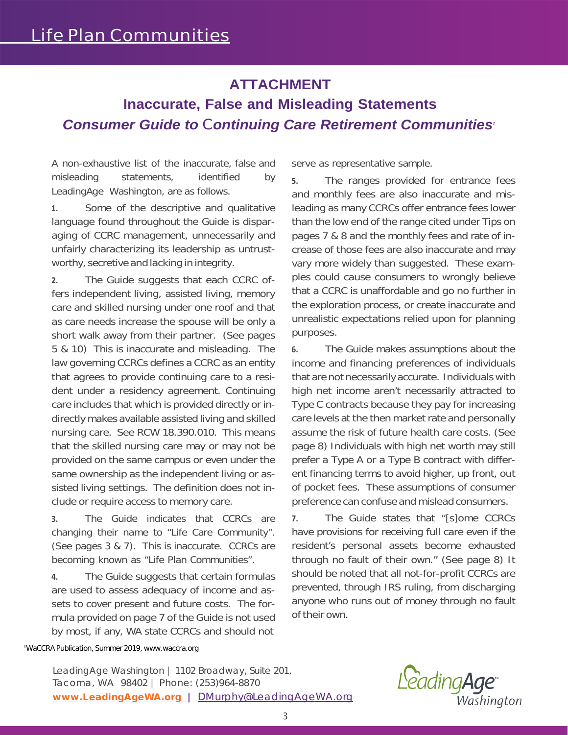## **ATTACHMENT**

## **Inaccurate, False and Misleading Statements** *Consumer Guide to Continuing Care Retirement Communities<sup>1</sup>*

A non-exhaustive list of the inaccurate, false and misleading statements, identified by LeadingAge Washington, are as follows.

**1.** Some of the descriptive and qualitative language found throughout the Guide is disparaging of CCRC management, unnecessarily and unfairly characterizing its leadership as untrustworthy, secretive and lacking in integrity.

**2.** The Guide suggests that each CCRC offers independent living, assisted living, memory care and skilled nursing under one roof and that as care needs increase the spouse will be only a short walk away from their partner. (See pages 5 & 10) This is inaccurate and misleading. The law governing CCRCs defines a CCRC as an entity that agrees to provide continuing care to a resident under a residency agreement. Continuing care includes that which is provided directly or indirectly makes available assisted living and skilled nursing care. See RCW 18.390.010. This means that the skilled nursing care may or may not be provided on the same campus or even under the same ownership as the independent living or assisted living settings. The definition does not include or require access to memory care.

**3.** The Guide indicates that CCRCs are changing their name to "Life Care Community". (See pages 3 & 7). This is inaccurate. CCRCs are becoming known as "Life Plan Communities".

**4.** The Guide suggests that certain formulas are used to assess adequacy of income and assets to cover present and future costs. The formula provided on page 7 of the Guide is not used by most, if any, WA state CCRCs and should not

serve as representative sample.

**5.** The ranges provided for entrance fees and monthly fees are also inaccurate and misleading as many CCRCs offer entrance fees lower than the low end of the range cited under Tips on pages 7 & 8 and the monthly fees and rate of increase of those fees are also inaccurate and may vary more widely than suggested. These examples could cause consumers to wrongly believe that a CCRC is unaffordable and go no further in the exploration process, or create inaccurate and unrealistic expectations relied upon for planning purposes.

**6.** The Guide makes assumptions about the income and financing preferences of individuals that are not necessarily accurate. Individuals with high net income aren't necessarily attracted to Type C contracts because they pay for increasing care levels at the then market rate and personally assume the risk of future health care costs. (See page 8) Individuals with high net worth may still prefer a Type A or a Type B contract with different financing terms to avoid higher, up front, out of pocket fees. These assumptions of consumer preference can confuse and mislead consumers.

**7.** The Guide states that "[s]ome CCRCs have provisions for receiving full care even if the resident's personal assets become exhausted through no fault of their own." (See page 8) It should be noted that all not-for-profit CCRCs are prevented, through IRS ruling, from discharging anyone who runs out of money through no fault of their own.

1WaCCRA Publication, Summer 2019, [www.waccra.org](http://www.waccra.org/)

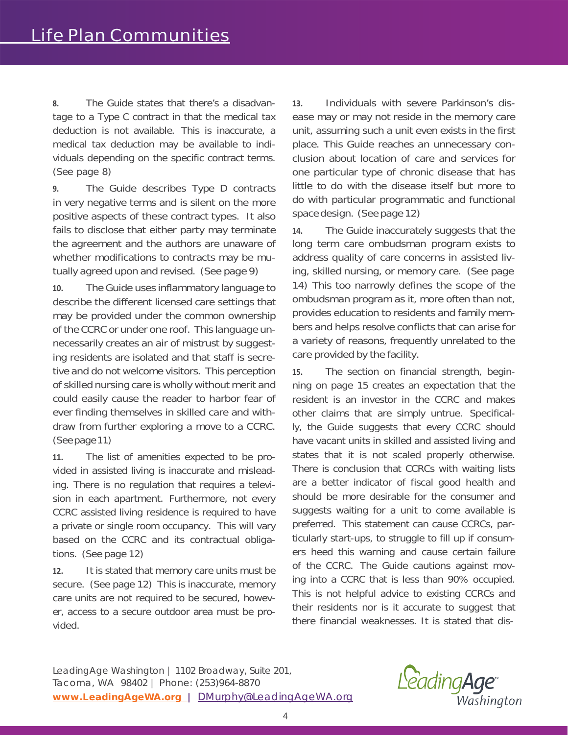**8.** The Guide states that there's a disadvantage to a Type C contract in that the medical tax deduction is not available. This is inaccurate, a medical tax deduction may be available to individuals depending on the specific contract terms. (See page 8)

**9.** The Guide describes Type D contracts in very negative terms and is silent on the more positive aspects of these contract types. It also fails to disclose that either party may terminate the agreement and the authors are unaware of whether modifications to contracts may be mutually agreed upon and revised. (See page 9)

**10.** The Guide uses inflammatory language to describe the different licensed care settings that may be provided under the common ownership of the CCRC or under one roof. This language unnecessarily creates an air of mistrust by suggesting residents are isolated and that staff is secretive and do not welcome visitors. This perception of skilled nursing care is wholly without merit and could easily cause the reader to harbor fear of ever finding themselves in skilled care and withdraw from further exploring a move to a CCRC. (Seepage11)

**11.** The list of amenities expected to be provided in assisted living is inaccurate and misleading. There is no regulation that requires a television in each apartment. Furthermore, not every CCRC assisted living residence is required to have a private or single room occupancy. This will vary based on the CCRC and its contractual obligations. (See page 12)

**12.** It is stated that memory care units must be secure. (See page 12) This is inaccurate, memory care units are not required to be secured, however, access to a secure outdoor area must be provided.

**13.** Individuals with severe Parkinson's disease may or may not reside in the memory care unit, assuming such a unit even exists in the first place. This Guide reaches an unnecessary conclusion about location of care and services for one particular type of chronic disease that has little to do with the disease itself but more to do with particular programmatic and functional space design. (See page 12)

**14.** The Guide inaccurately suggests that the long term care ombudsman program exists to address quality of care concerns in assisted living, skilled nursing, or memory care. (See page 14) This too narrowly defines the scope of the ombudsman program as it, more often than not, provides education to residents and family members and helps resolve conflicts that can arise for a variety of reasons, frequently unrelated to the care provided by the facility.

**15.** The section on financial strength, beginning on page 15 creates an expectation that the resident is an investor in the CCRC and makes other claims that are simply untrue. Specifically, the Guide suggests that every CCRC should have vacant units in skilled and assisted living and states that it is not scaled properly otherwise. There is conclusion that CCRCs with waiting lists are a better indicator of fiscal good health and should be more desirable for the consumer and suggests waiting for a unit to come available is preferred. This statement can cause CCRCs, particularly start-ups, to struggle to fill up if consumers heed this warning and cause certain failure of the CCRC. The Guide cautions against moving into a CCRC that is less than 90% occupied. This is not helpful advice to existing CCRCs and their residents nor is it accurate to suggest that there financial weaknesses. It is stated that dis-

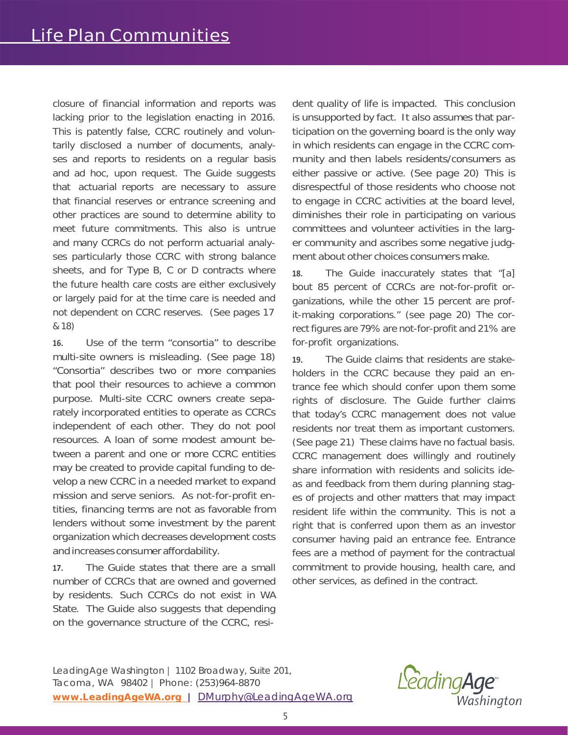closure of financial information and reports was lacking prior to the legislation enacting in 2016. This is patently false, CCRC routinely and voluntarily disclosed a number of documents, analyses and reports to residents on a regular basis and ad hoc, upon request. The Guide suggests that actuarial reports are necessary to assure that financial reserves or entrance screening and other practices are sound to determine ability to meet future commitments. This also is untrue and many CCRCs do not perform actuarial analyses particularly those CCRC with strong balance sheets, and for Type B, C or D contracts where the future health care costs are either exclusively or largely paid for at the time care is needed and not dependent on CCRC reserves. (See pages 17 & 18)

**16.** Use of the term "consortia" to describe multi-site owners is misleading. (See page 18) "Consortia" describes two or more companies that pool their resources to achieve a common purpose. Multi-site CCRC owners create separately incorporated entities to operate as CCRCs independent of each other. They do not pool resources. A loan of some modest amount between a parent and one or more CCRC entities may be created to provide capital funding to develop a new CCRC in a needed market to expand mission and serve seniors. As not-for-profit entities, financing terms are not as favorable from lenders without some investment by the parent organization which decreases development costs and increases consumer affordability.

**17.** The Guide states that there are a small number of CCRCs that are owned and governed by residents. Such CCRCs do not exist in WA State. The Guide also suggests that depending on the governance structure of the CCRC, resident quality of life is impacted. This conclusion is unsupported by fact. It also assumes that participation on the governing board is the only way in which residents can engage in the CCRC community and then labels residents/consumers as either passive or active. (See page 20) This is disrespectful of those residents who choose not to engage in CCRC activities at the board level, diminishes their role in participating on various committees and volunteer activities in the larger community and ascribes some negative judgment about other choices consumers make.

**18.** The Guide inaccurately states that "[a] bout 85 percent of CCRCs are not-for-profit organizations, while the other 15 percent are profit-making corporations." (see page 20) The correct figures are 79% are not-for-profit and 21% are for-profit organizations.

**19.** The Guide claims that residents are stakeholders in the CCRC because they paid an entrance fee which should confer upon them some rights of disclosure. The Guide further claims that today's CCRC management does not value residents nor treat them as important customers. (See page 21) These claims have no factual basis. CCRC management does willingly and routinely share information with residents and solicits ideas and feedback from them during planning stages of projects and other matters that may impact resident life within the community. This is not a right that is conferred upon them as an investor consumer having paid an entrance fee. Entrance fees are a method of payment for the contractual commitment to provide housing, health care, and other services, as defined in the contract.